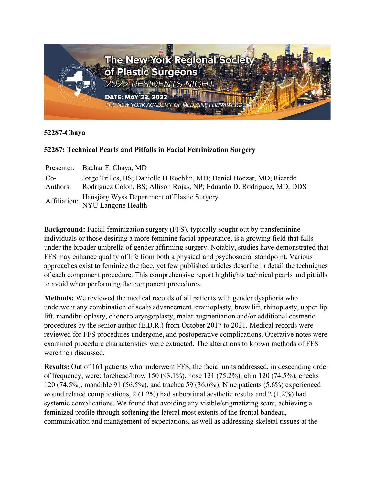

## **52287-Chaya**

## **52287: Technical Pearls and Pitfalls in Facial Feminization Surgery**

|          | Presenter: Bachar F. Chaya, MD                                                 |
|----------|--------------------------------------------------------------------------------|
| $Co-$    | Jorge Trilles, BS; Danielle H Rochlin, MD; Daniel Boczar, MD; Ricardo          |
| Authors: | Rodriguez Colon, BS; Allison Rojas, NP; Eduardo D. Rodriguez, MD, DDS          |
|          | Affiliation: Hansjörg Wyss Department of Plastic Surgery<br>NYU Langone Health |
|          |                                                                                |

**Background:** Facial feminization surgery (FFS), typically sought out by transfeminine individuals or those desiring a more feminine facial appearance, is a growing field that falls under the broader umbrella of gender affirming surgery. Notably, studies have demonstrated that FFS may enhance quality of life from both a physical and psychosocial standpoint. Various approaches exist to feminize the face, yet few published articles describe in detail the techniques of each component procedure. This comprehensive report highlights technical pearls and pitfalls to avoid when performing the component procedures.

**Methods:** We reviewed the medical records of all patients with gender dysphoria who underwent any combination of scalp advancement, cranioplasty, brow lift, rhinoplasty, upper lip lift, mandibuloplasty, chondrolaryngoplasty, malar augmentation and/or additional cosmetic procedures by the senior author (E.D.R.) from October 2017 to 2021. Medical records were reviewed for FFS procedures undergone, and postoperative complications. Operative notes were examined procedure characteristics were extracted. The alterations to known methods of FFS were then discussed.

**Results:** Out of 161 patients who underwent FFS, the facial units addressed, in descending order of frequency, were: forehead/brow 150 (93.1%), nose 121 (75.2%), chin 120 (74.5%), cheeks 120 (74.5%), mandible 91 (56.5%), and trachea 59 (36.6%). Nine patients (5.6%) experienced wound related complications, 2 (1.2%) had suboptimal aesthetic results and 2 (1.2%) had systemic complications. We found that avoiding any visible/stigmatizing scars, achieving a feminized profile through softening the lateral most extents of the frontal bandeau, communication and management of expectations, as well as addressing skeletal tissues at the